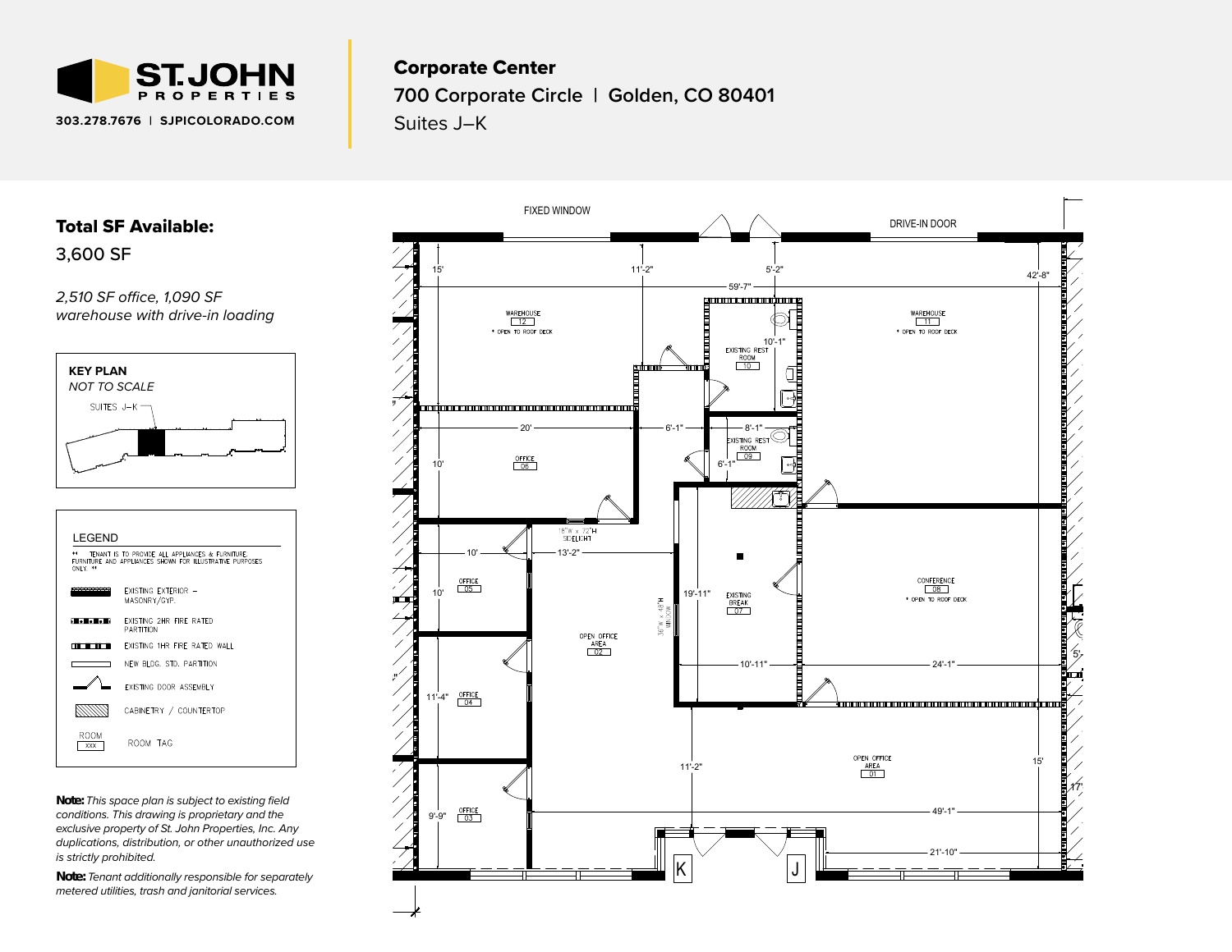

### Corporate Center

**700 Corporate Circle | Golden, CO 80401**

Suites J–K

## Total SF Available:

3,600 SF

*2,510 SF office, 1,090 SF warehouse with drive-in loading*





*Note: This space plan is subject to existing field conditions. This drawing is proprietary and the exclusive property of St. John Properties, Inc. Any duplications, distribution, or other unauthorized use is strictly prohibited.* 

*Note: Tenant additionally responsible for separately metered utilities, trash and janitorial services.*

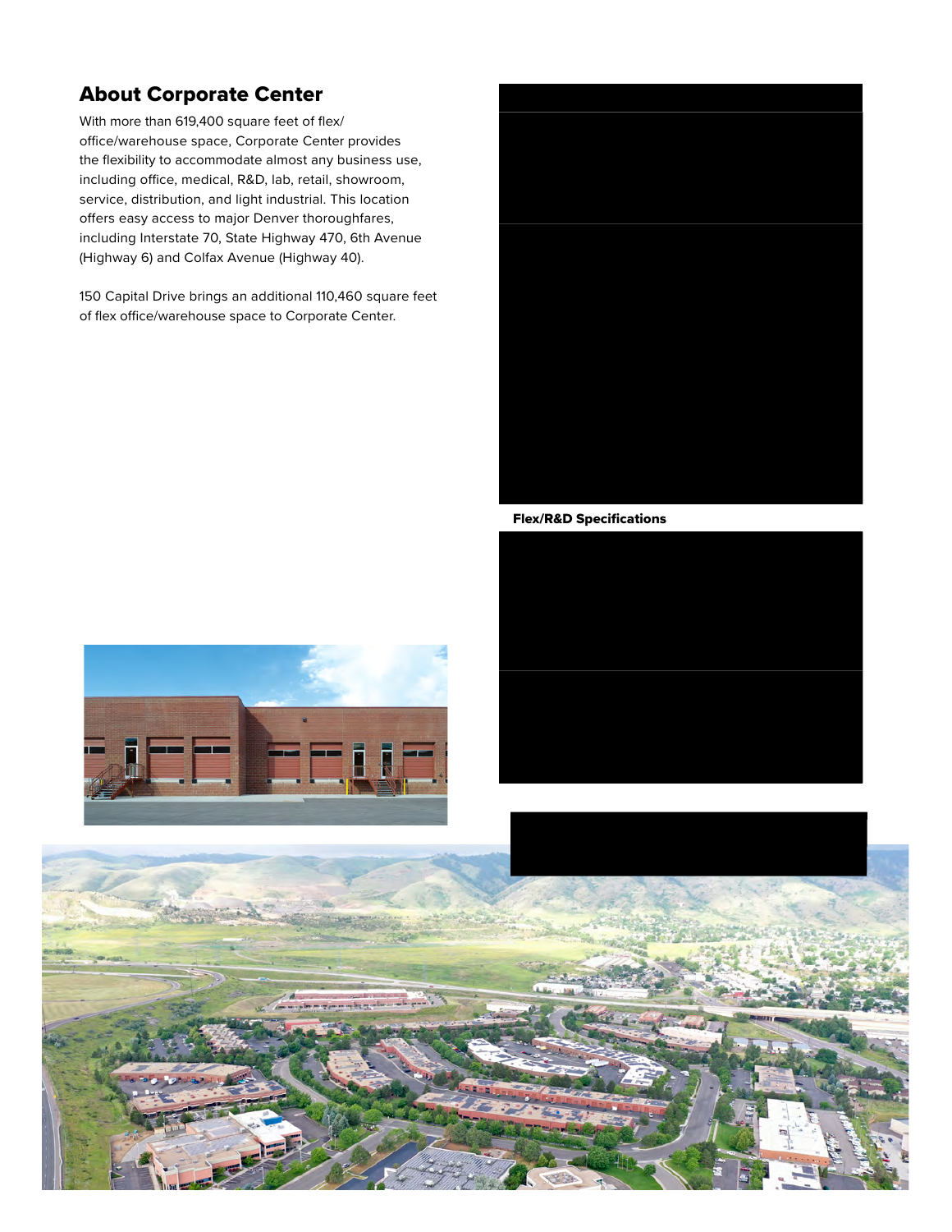# About Corporate Center

With more than 619,400 square feet of flex/ office/warehouse space, Corporate Center provides the flexibility to accommodate almost any business use, including office, medical, R&D, lab, retail, showroom, service, distribution, and light industrial. This location offers easy access to major Denver thoroughfares, including Interstate 70, State Highway 470, 6th Avenue (Highway 6) and Colfax Avenue (Highway 40).

150 Capital Drive brings an additional 110,460 square feet of flex office/warehouse space to Corporate Center.

#### Flex/R&D Buildings

| 130 Capital Drive                  | 12,000 SF               |
|------------------------------------|-------------------------|
| 150 Capital Drive                  | 110,520 SF              |
| 221 Corporate Circle               | 47,199 SF               |
| 301 Commercial Road                | 39,300 SF               |
| 331 Corporate Circle               | 28,800 SF               |
| 400 Corporate Circle               | 66,700 SF               |
| 420 Corporate Circle               | 28,200 SF               |
| 500 Corporate Circle               | 44,400 SF               |
| 600 Corporate Circle               | 42,700 SF               |
| 611 Corporate Circle               | 28,560 SF               |
| 621 Corporate Circle               | 30,321 SF               |
| 700 Corporate Circle               | 31,680 SF               |
| 720 Corporate Circle               | 55,750 SF               |
| 741 Corporate Circle               | 53,400 SF               |
| <b>Flex/R&amp;D Specifications</b> |                         |
| <b>Suite Sizes</b>                 | 1,500 up to 110,520 SF  |
| Ceiling Height                     | 14-16 ft. clear minimum |
| Offices                            | Built to suit           |
| Parking                            | 4 spaces per 1,000 SF   |
| Heat                               | Gas                     |
| Roof                               | EPDM/TPO                |
| <b>Exterior Walls</b>              | Brick on block          |
| Loading                            | Dock or drive-in        |
|                                    |                         |

*For more information on Corporate Center, visit: sjpi.com/corporatecenter*